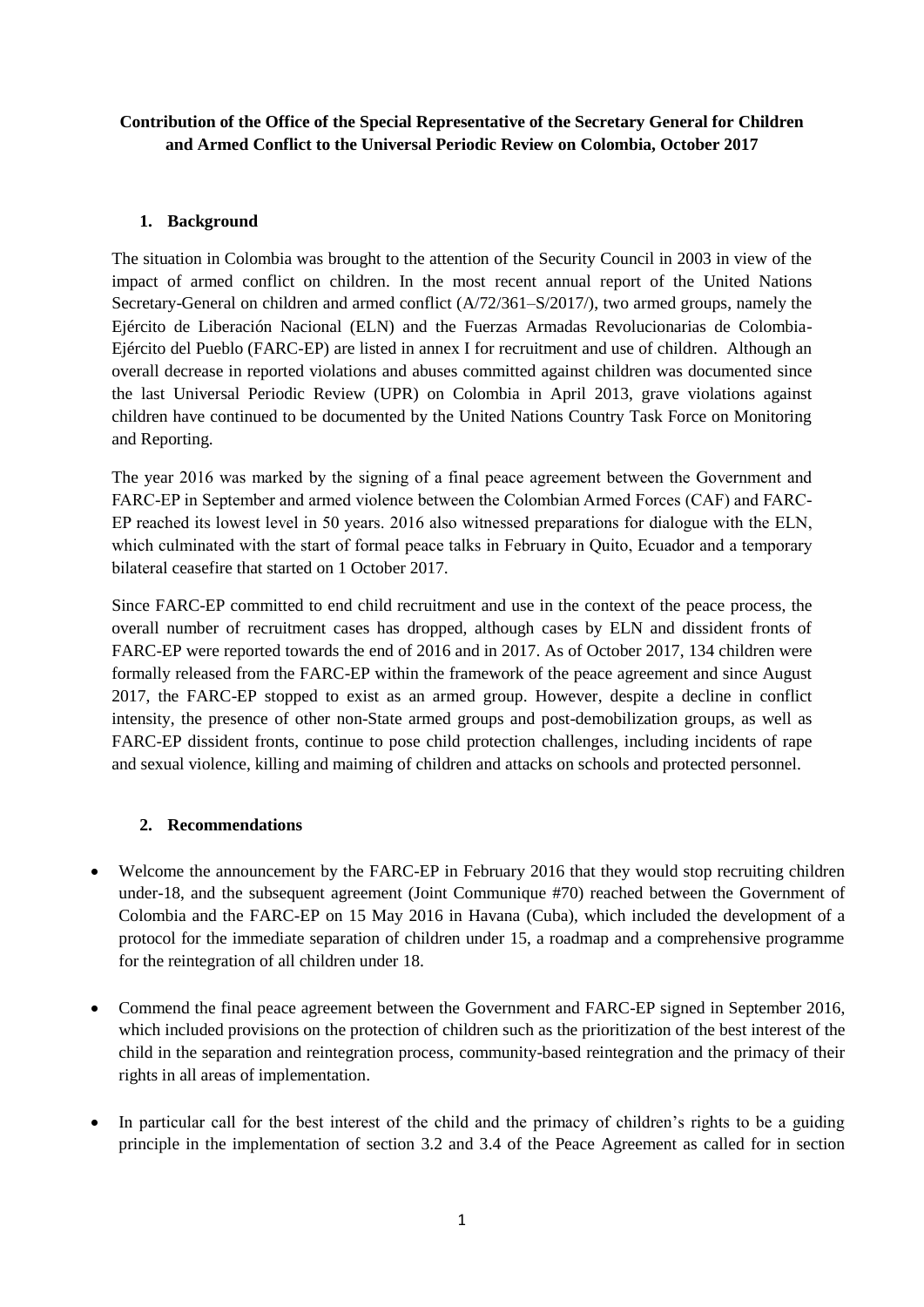## **Contribution of the Office of the Special Representative of the Secretary General for Children and Armed Conflict to the Universal Periodic Review on Colombia, October 2017**

## **1. Background**

The situation in Colombia was brought to the attention of the Security Council in 2003 in view of the impact of armed conflict on children. In the most recent annual report of the United Nations Secretary-General on children and armed conflict (A/72/361–S/2017/), two armed groups, namely the Ejército de Liberación Nacional (ELN) and the Fuerzas Armadas Revolucionarias de Colombia-Ejército del Pueblo (FARC-EP) are listed in annex I for recruitment and use of children. Although an overall decrease in reported violations and abuses committed against children was documented since the last Universal Periodic Review (UPR) on Colombia in April 2013, grave violations against children have continued to be documented by the United Nations Country Task Force on Monitoring and Reporting.

The year 2016 was marked by the signing of a final peace agreement between the Government and FARC-EP in September and armed violence between the Colombian Armed Forces (CAF) and FARC-EP reached its lowest level in 50 years. 2016 also witnessed preparations for dialogue with the ELN, which culminated with the start of formal peace talks in February in Quito, Ecuador and a temporary bilateral ceasefire that started on 1 October 2017.

Since FARC-EP committed to end child recruitment and use in the context of the peace process, the overall number of recruitment cases has dropped, although cases by ELN and dissident fronts of FARC-EP were reported towards the end of 2016 and in 2017. As of October 2017, 134 children were formally released from the FARC-EP within the framework of the peace agreement and since August 2017, the FARC-EP stopped to exist as an armed group. However, despite a decline in conflict intensity, the presence of other non-State armed groups and post-demobilization groups, as well as FARC-EP dissident fronts, continue to pose child protection challenges, including incidents of rape and sexual violence, killing and maiming of children and attacks on schools and protected personnel.

## **2. Recommendations**

- Welcome the announcement by the FARC-EP in February 2016 that they would stop recruiting children under-18, and the subsequent agreement (Joint Communique #70) reached between the Government of Colombia and the FARC-EP on 15 May 2016 in Havana (Cuba), which included the development of a protocol for the immediate separation of children under 15, a roadmap and a comprehensive programme for the reintegration of all children under 18.
- Commend the final peace agreement between the Government and FARC-EP signed in September 2016, which included provisions on the protection of children such as the prioritization of the best interest of the child in the separation and reintegration process, community-based reintegration and the primacy of their rights in all areas of implementation.
- In particular call for the best interest of the child and the primacy of children's rights to be a guiding principle in the implementation of section 3.2 and 3.4 of the Peace Agreement as called for in section